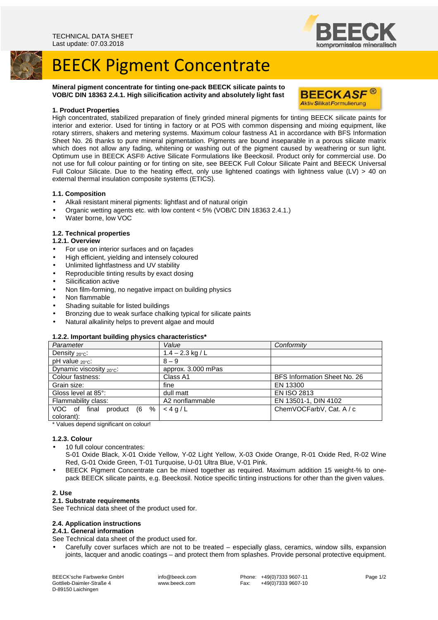



#### **Mineral pigment concentrate for tinting one-pack BEECK silicate paints to VOB/C DIN 18363 2.4.1. High silicification activity and absolutely light fast**



#### **1. Product Properties**

High concentrated, stabilized preparation of finely grinded mineral pigments for tinting BEECK silicate paints for interior and exterior. Used for tinting in factory or at POS with common dispensing and mixing equipment, like rotary stirrers, shakers and metering systems. Maximum colour fastness A1 in accordance with BFS Information Sheet No. 26 thanks to pure mineral pigmentation. Pigments are bound inseparable in a porous silicate matrix which does not allow any fading, whitening or washing out of the pigment caused by weathering or sun light. Optimum use in BEECK ASF® Active Silicate Formulations like Beeckosil. Product only for commercial use. Do not use for full colour painting or for tinting on site, see BEECK Full Colour Silicate Paint and BEECK Universal Full Colour Silicate. Due to the heating effect, only use lightened coatings with lightness value (LV) > 40 on external thermal insulation composite systems (ETICS).

#### **1.1. Composition**

- Alkali resistant mineral pigments: lightfast and of natural origin
- Organic wetting agents etc. with low content < 5% (VOB/C DIN 18363 2.4.1.)
- Water borne, low VOC

## **1.2. Technical properties**

### **1.2.1. Overview**

- 
- For use on interior surfaces and on façades
- High efficient, yielding and intensely coloured
- Unlimited lightfastness and UV stability
- Reproducible tinting results by exact dosing
- Silicification active
- Non film-forming, no negative impact on building physics
- Non flammable
- Shading suitable for listed buildings
- Bronzing due to weak surface chalking typical for silicate paints
- Natural alkalinity helps to prevent algae and mould

#### **1.2.2. Important building physics characteristics\***

| Parameter                            | Value              | Conformity                   |
|--------------------------------------|--------------------|------------------------------|
| Density $_{20^{\circ}C}$ :           | $1.4 - 2.3$ kg / L |                              |
| $pH$ value $20^{\circ}$ c:           | $8 - 9$            |                              |
| Dynamic viscosity $_{20^{\circ}C}$ : | approx. 3.000 mPas |                              |
| Colour fastness:                     | Class A1           | BFS Information Sheet No. 26 |
| Grain size:                          | fine               | EN 13300                     |
| Gloss level at 85°:                  | dull matt          | <b>EN ISO 2813</b>           |
| Flammability class:                  | A2 nonflammable    | EN 13501-1, DIN 4102         |
| VOC of final<br>%<br>(6<br>product   | $<4$ g/L           | ChemVOCFarbV, Cat. A / c     |
| colorant):                           |                    |                              |

\* Values depend significant on colour!

#### **1.2.3. Colour**

- 10 full colour concentrates:
- S-01 Oxide Black, X-01 Oxide Yellow, Y-02 Light Yellow, X-03 Oxide Orange, R-01 Oxide Red, R-02 Wine Red, G-01 Oxide Green, T-01 Turquoise, U-01 Ultra Blue, V-01 Pink.
- BEECK Pigment Concentrate can be mixed together as required. Maximum addition 15 weight-% to onepack BEECK silicate paints, e.g. Beeckosil. Notice specific tinting instructions for other than the given values.

#### **2. Use**

#### **2.1. Substrate requirements**

See Technical data sheet of the product used for.

#### **2.4. Application instructions**

#### **2.4.1. General information**

See Technical data sheet of the product used for.

• Carefully cover surfaces which are not to be treated – especially glass, ceramics, window sills, expansion joints, lacquer and anodic coatings – and protect them from splashes. Provide personal protective equipment.

BEECK'sche Farbwerke GmbH Gottlieb-Daimler-Straße 4 D-89150 Laichingen

 info@beeck.com www.beeck.com Phone: +49(0)7333 9607-11<br>Fax: +49(0)7333 9607-10 +49(0)7333 9607-10